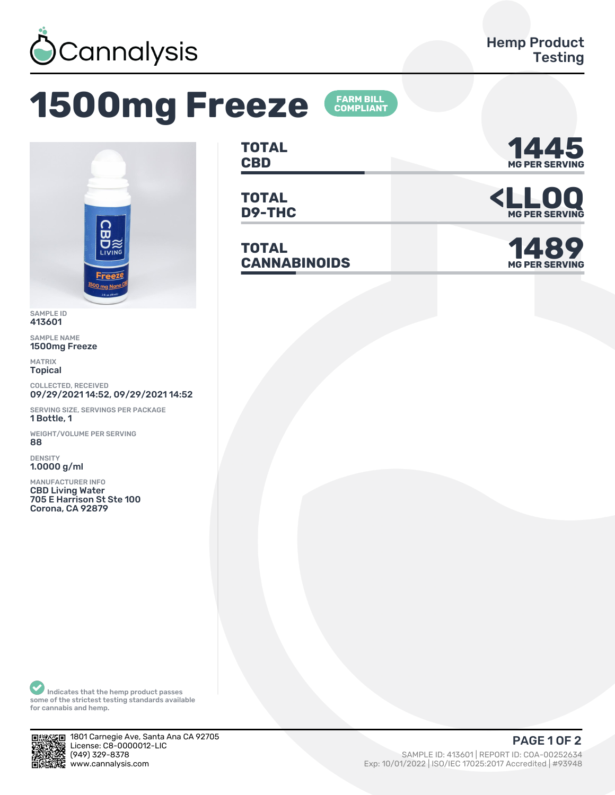

## **1500mg Freeze**





SAMPLE ID 413601

SAMPLE NAME 1500mg Freeze

MATRIX Topical

COLLECTED, RECEIVED 09/29/2021 14:52, 09/29/2021 14:52

SERVING SIZE, SERVINGS PER PACKAGE 1 Bottle, 1

WEIGHT/VOLUME PER SERVING ȄȄ

DENSITY 1.0000 g/ml

MANUFACTURER INFO CBD Living Water 705 E Harrison St Ste 100 Corona, CA 92879

**TOTAL CBD MG PER SERVING 1445**

**TOTAL**

**TOTAL**  $CANNABINOIDS$ 



**D9-THC <LLOQ MG PER SERVING**

**MG PER SERVING** 

Indicates that the hemp product passes some of the strictest testing standards available for cannabis and hemp.



1801 Carnegie Ave, Santa Ana CA 92705 License: C8-0000012-LIC<br>(949) 329-8378 (ȅȀȅ) ǿǾȅ-ȄǿȃȄ SAMPLE ID: ȀǽǿȂǼǽ | REPORT ID: COA-ǼǼǾȁǾȂǿȀ